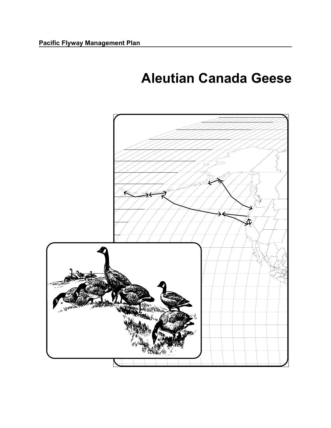# **Aleutian Canada Geese**

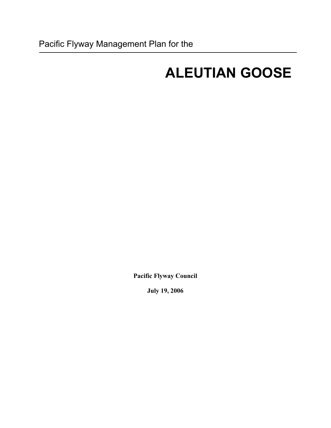# **ALEUTIAN GOOSE**

**Pacific Flyway Council** 

**July 19, 2006**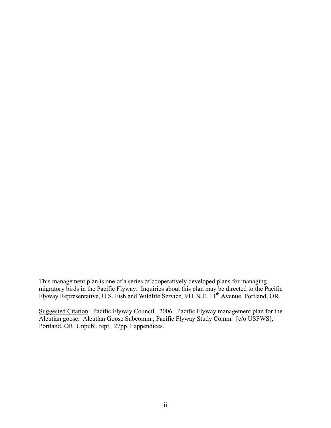This management plan is one of a series of cooperatively developed plans for managing migratory birds in the Pacific Flyway. Inquiries about this plan may be directed to the Pacific Flyway Representative, U.S. Fish and Wildlife Service, 911 N.E. 11<sup>th</sup> Avenue, Portland, OR.

Suggested Citation: Pacific Flyway Council. 2006. Pacific Flyway management plan for the Aleutian goose. Aleutian Goose Subcomm., Pacific Flyway Study Comm. [c/o USFWS], Portland, OR. Unpubl. rept. 27pp.+ appendices.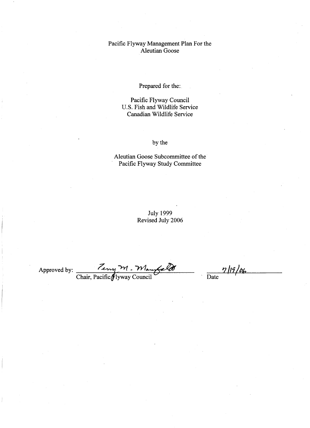#### Pacific Flyway Management Plan For the **Aleutian Goose**

#### Prepared for the:

Pacific Flyway Council U.S. Fish and Wildlife Service Canadian Wildlife Service

by the

Aleutian Goose Subcommittee of the Pacific Flyway Study Committee

> **July 1999** Revised July 2006

Teny M. Maurfrel Approved by: \_

 $\frac{7}{\text{Date}}$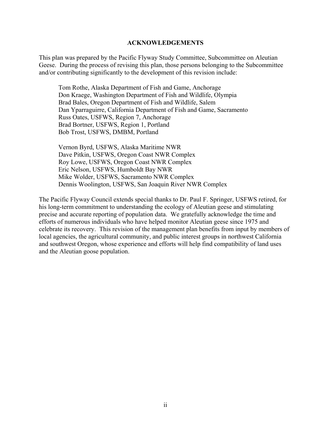#### **ACKNOWLEDGEMENTS**

This plan was prepared by the Pacific Flyway Study Committee, Subcommittee on Aleutian Geese. During the process of revising this plan, those persons belonging to the Subcommittee and/or contributing significantly to the development of this revision include:

Tom Rothe, Alaska Department of Fish and Game, Anchorage Don Kraege, Washington Department of Fish and Wildlife, Olympia Brad Bales, Oregon Department of Fish and Wildlife, Salem Dan Yparraguirre, California Department of Fish and Game, Sacramento Russ Oates, USFWS, Region 7, Anchorage Brad Bortner, USFWS, Region 1, Portland Bob Trost, USFWS, DMBM, Portland

 Vernon Byrd, USFWS, Alaska Maritime NWR Dave Pitkin, USFWS, Oregon Coast NWR Complex Roy Lowe, USFWS, Oregon Coast NWR Complex Eric Nelson, USFWS, Humboldt Bay NWR Mike Wolder, USFWS, Sacramento NWR Complex Dennis Woolington, USFWS, San Joaquin River NWR Complex

The Pacific Flyway Council extends special thanks to Dr. Paul F. Springer, USFWS retired, for his long-term commitment to understanding the ecology of Aleutian geese and stimulating precise and accurate reporting of population data. We gratefully acknowledge the time and efforts of numerous individuals who have helped monitor Aleutian geese since 1975 and celebrate its recovery. This revision of the management plan benefits from input by members of local agencies, the agricultural community, and public interest groups in northwest California and southwest Oregon, whose experience and efforts will help find compatibility of land uses and the Aleutian goose population.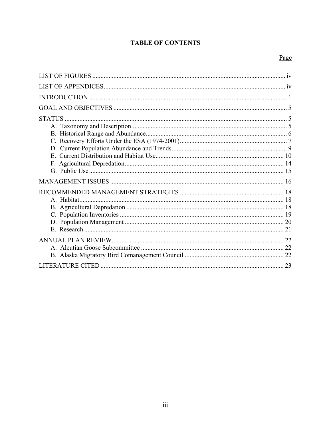## **TABLE OF CONTENTS**

### Page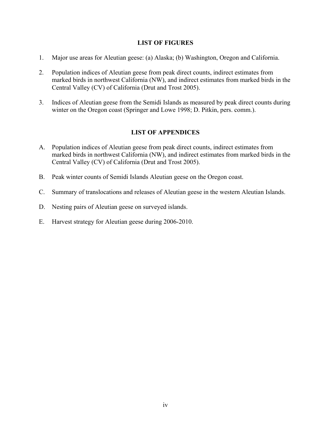#### **LIST OF FIGURES**

- <span id="page-6-0"></span>1. Major use areas for Aleutian geese: (a) Alaska; (b) Washington, Oregon and California.
- 2. Population indices of Aleutian geese from peak direct counts, indirect estimates from marked birds in northwest California (NW), and indirect estimates from marked birds in the Central Valley (CV) of California (Drut and Trost 2005).
- 3. Indices of Aleutian geese from the Semidi Islands as measured by peak direct counts during winter on the Oregon coast (Springer and Lowe 1998; D. Pitkin, pers. comm.).

#### **LIST OF APPENDICES**

- A. Population indices of Aleutian geese from peak direct counts, indirect estimates from marked birds in northwest California (NW), and indirect estimates from marked birds in the Central Valley (CV) of California (Drut and Trost 2005).
- B. Peak winter counts of Semidi Islands Aleutian geese on the Oregon coast.
- C. Summary of translocations and releases of Aleutian geese in the western Aleutian Islands.
- D. Nesting pairs of Aleutian geese on surveyed islands.
- E. Harvest strategy for Aleutian geese during 2006-2010.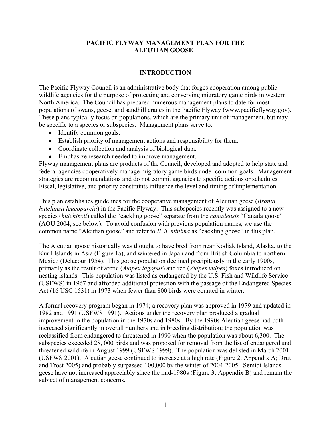#### **PACIFIC FLYWAY MANAGEMENT PLAN FOR THE ALEUTIAN GOOSE**

#### **INTRODUCTION**

<span id="page-7-0"></span>The Pacific Flyway Council is an administrative body that forges cooperation among public wildlife agencies for the purpose of protecting and conserving migratory game birds in western North America. The Council has prepared numerous management plans to date for most populations of swans, geese, and sandhill cranes in the Pacific Flyway (www.pacificflyway.gov). These plans typically focus on populations, which are the primary unit of management, but may be specific to a species or subspecies. Management plans serve to:

- Identify common goals.
- Establish priority of management actions and responsibility for them.
- Coordinate collection and analysis of biological data.
- Emphasize research needed to improve management.

Flyway management plans are products of the Council, developed and adopted to help state and federal agencies cooperatively manage migratory game birds under common goals. Management strategies are recommendations and do not commit agencies to specific actions or schedules. Fiscal, legislative, and priority constraints influence the level and timing of implementation.

This plan establishes guidelines for the cooperative management of Aleutian geese (*Branta hutchinsii leucopareia*) in the Pacific Flyway. This subspecies recently was assigned to a new species (*hutchinsii*) called the "cackling goose" separate from the *canadensis* "Canada goose" (AOU 2004; see below). To avoid confusion with previous population names, we use the common name "Aleutian goose" and refer to *B. h. minima* as "cackling goose" in this plan.

The Aleutian goose historically was thought to have bred from near Kodiak Island, Alaska, to the Kuril Islands in Asia (Figure 1a), and wintered in Japan and from British Columbia to northern Mexico (Delacour 1954). This goose population declined precipitously in the early 1900s, primarily as the result of arctic (*Alopex lagopus*) and red (*Vulpes vulpes*) foxes introduced on nesting islands. This population was listed as endangered by the U.S. Fish and Wildlife Service (USFWS) in 1967 and afforded additional protection with the passage of the Endangered Species Act (16 USC 1531) in 1973 when fewer than 800 birds were counted in winter.

A formal recovery program began in 1974; a recovery plan was approved in 1979 and updated in 1982 and 1991 (USFWS 1991). Actions under the recovery plan produced a gradual improvement in the population in the 1970s and 1980s. By the 1990s Aleutian geese had both increased significantly in overall numbers and in breeding distribution; the population was reclassified from endangered to threatened in 1990 when the population was about 6,300. The subspecies exceeded 28, 000 birds and was proposed for removal from the list of endangered and threatened wildlife in August 1999 (USFWS 1999). The population was delisted in March 2001 (USFWS 2001). Aleutian geese continued to increase at a high rate (Figure 2; Appendix A; Drut and Trost 2005) and probably surpassed 100,000 by the winter of 2004-2005. Semidi Islands geese have not increased appreciably since the mid-1980s (Figure 3; Appendix B) and remain the subject of management concerns.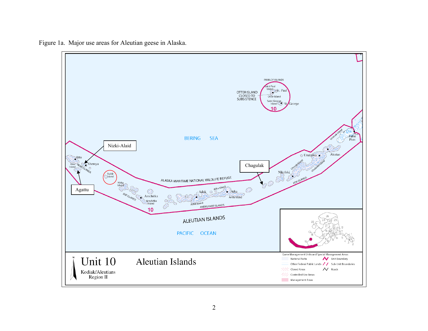Figure 1a. Major use areas for Aleutian geese in Alaska.

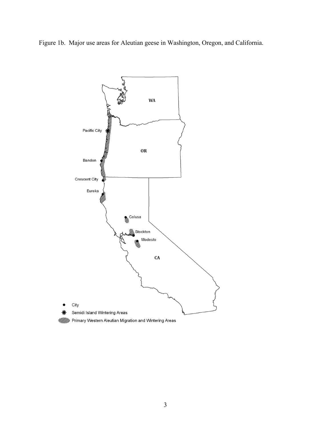Figure 1b. Major use areas for Aleutian geese in Washington, Oregon, and California.

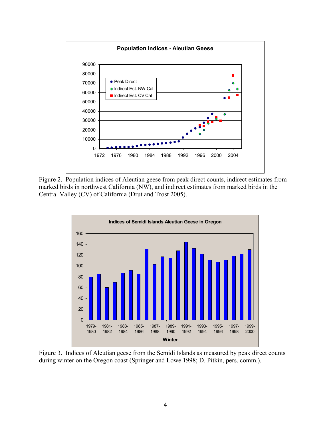

Figure 2. Population indices of Aleutian geese from peak direct counts, indirect estimates from marked birds in northwest California (NW), and indirect estimates from marked birds in the Central Valley (CV) of California (Drut and Trost 2005).



Figure 3. Indices of Aleutian geese from the Semidi Islands as measured by peak direct counts during winter on the Oregon coast (Springer and Lowe 1998; D. Pitkin, pers. comm.).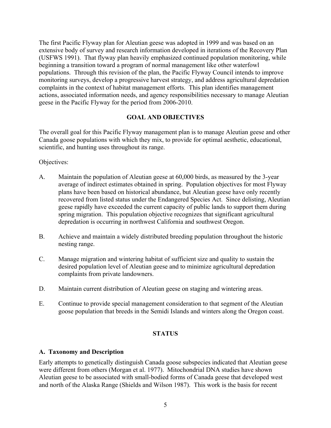<span id="page-11-0"></span>The first Pacific Flyway plan for Aleutian geese was adopted in 1999 and was based on an extensive body of survey and research information developed in iterations of the Recovery Plan (USFWS 1991). That flyway plan heavily emphasized continued population monitoring, while beginning a transition toward a program of normal management like other waterfowl populations. Through this revision of the plan, the Pacific Flyway Council intends to improve monitoring surveys, develop a progressive harvest strategy, and address agricultural depredation complaints in the context of habitat management efforts. This plan identifies management actions, associated information needs, and agency responsibilities necessary to manage Aleutian geese in the Pacific Flyway for the period from 2006-2010.

#### **GOAL AND OBJECTIVES**

The overall goal for this Pacific Flyway management plan is to manage Aleutian geese and other Canada goose populations with which they mix, to provide for optimal aesthetic, educational, scientific, and hunting uses throughout its range.

#### Objectives:

- A. Maintain the population of Aleutian geese at 60,000 birds, as measured by the 3-year average of indirect estimates obtained in spring. Population objectives for most Flyway plans have been based on historical abundance, but Aleutian geese have only recently recovered from listed status under the Endangered Species Act. Since delisting, Aleutian geese rapidly have exceeded the current capacity of public lands to support them during spring migration. This population objective recognizes that significant agricultural depredation is occurring in northwest California and southwest Oregon.
- B. Achieve and maintain a widely distributed breeding population throughout the historic nesting range.
- C. Manage migration and wintering habitat of sufficient size and quality to sustain the desired population level of Aleutian geese and to minimize agricultural depredation complaints from private landowners.
- D. Maintain current distribution of Aleutian geese on staging and wintering areas.
- E. Continue to provide special management consideration to that segment of the Aleutian goose population that breeds in the Semidi Islands and winters along the Oregon coast.

#### **STATUS**

#### **A. Taxonomy and Description**

Early attempts to genetically distinguish Canada goose subspecies indicated that Aleutian geese were different from others (Morgan et al. 1977). Mitochondrial DNA studies have shown Aleutian geese to be associated with small-bodied forms of Canada geese that developed west and north of the Alaska Range (Shields and Wilson 1987). This work is the basis for recent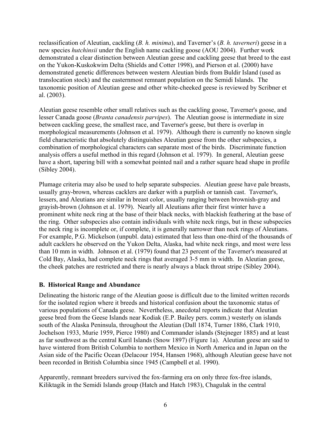<span id="page-12-0"></span>reclassification of Aleutian, cackling (*B. h. minima*), and Taverner's (*B. h. taverneri*) geese in a new species *hutchinsii* under the English name cackling goose (AOU 2004). Further work demonstrated a clear distinction between Aleutian geese and cackling geese that breed to the east on the Yukon-Kuskokwim Delta (Shields and Cotter 1998), and Pierson et al. (2000) have demonstrated genetic differences between western Aleutian birds from Buldir Island (used as translocation stock) and the easternmost remnant population on the Semidi Islands. The taxonomic position of Aleutian geese and other white-cheeked geese is reviewed by Scribner et al. (2003).

Aleutian geese resemble other small relatives such as the cackling goose, Taverner's goose, and lesser Canada goose (*Branta canadensis parvipes*). The Aleutian goose is intermediate in size between cackling geese, the smallest race, and Taverner's geese, but there is overlap in morphological measurements (Johnson et al. 1979). Although there is currently no known single field characteristic that absolutely distinguishes Aleutian geese from the other subspecies, a combination of morphological characters can separate most of the birds. Discriminate function analysis offers a useful method in this regard (Johnson et al. 1979). In general, Aleutian geese have a short, tapering bill with a somewhat pointed nail and a rather square head shape in profile (Sibley 2004).

Plumage criteria may also be used to help separate subspecies. Aleutian geese have pale breasts, usually gray-brown, whereas cacklers are darker with a purplish or tannish cast. Taverner's, lessers, and Aleutians are similar in breast color, usually ranging between brownish-gray and grayish-brown (Johnson et al. 1979). Nearly all Aleutians after their first winter have a prominent white neck ring at the base of their black necks, with blackish feathering at the base of the ring. Other subspecies also contain individuals with white neck rings, but in these subspecies the neck ring is incomplete or, if complete, it is generally narrower than neck rings of Aleutians. For example, P.G. Mickelson (unpubl. data) estimated that less than one-third of the thousands of adult cacklers he observed on the Yukon Delta, Alaska, had white neck rings, and most were less than 10 mm in width. Johnson et al. (1979) found that 23 percent of the Taverner's measured at Cold Bay, Alaska, had complete neck rings that averaged 3-5 mm in width. In Aleutian geese, the cheek patches are restricted and there is nearly always a black throat stripe (Sibley 2004).

#### **B. Historical Range and Abundance**

Delineating the historic range of the Aleutian goose is difficult due to the limited written records for the isolated region where it breeds and historical confusion about the taxonomic status of various populations of Canada geese. Nevertheless, anecdotal reports indicate that Aleutian geese bred from the Geese Islands near Kodiak (E.P. Bailey pers. comm.) westerly on islands south of the Alaska Peninsula, throughout the Aleutian (Dall 1874, Turner 1886, Clark 1910, Jochelson 1933, Murie 1959, Pierce 1980) and Commander islands (Stejneger 1885) and at least as far southwest as the central Kuril Islands (Snow 1897) (Figure 1a). Aleutian geese are said to have wintered from British Columbia to northern Mexico in North America and in Japan on the Asian side of the Pacific Ocean (Delacour 1954, Hansen 1968), although Aleutian geese have not been recorded in British Columbia since 1945 (Campbell et al. 1990).

Apparently, remnant breeders survived the fox-farming era on only three fox-free islands, Kiliktagik in the Semidi Islands group (Hatch and Hatch 1983), Chagulak in the central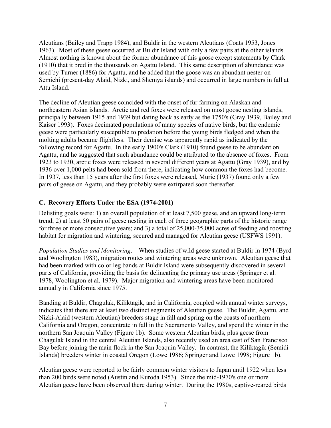<span id="page-13-0"></span>Aleutians (Bailey and Trapp 1984), and Buldir in the western Aleutians (Coats 1953, Jones 1963). Most of these geese occurred at Buldir Island with only a few pairs at the other islands. Almost nothing is known about the former abundance of this goose except statements by Clark (1910) that it bred in the thousands on Agattu Island. This same description of abundance was used by Turner (1886) for Agattu, and he added that the goose was an abundant nester on Semichi (present-day Alaid, Nizki, and Shemya islands) and occurred in large numbers in fall at Attu Island.

The decline of Aleutian geese coincided with the onset of fur farming on Alaskan and northeastern Asian islands. Arctic and red foxes were released on most goose nesting islands, principally between 1915 and 1939 but dating back as early as the 1750's (Gray 1939, Bailey and Kaiser 1993). Foxes decimated populations of many species of native birds, but the endemic geese were particularly susceptible to predation before the young birds fledged and when the molting adults became flightless. Their demise was apparently rapid as indicated by the following record for Agattu. In the early 1900's Clark (1910) found geese to be abundant on Agattu, and he suggested that such abundance could be attributed to the absence of foxes. From 1923 to 1930, arctic foxes were released in several different years at Agattu (Gray 1939), and by 1936 over 1,000 pelts had been sold from there, indicating how common the foxes had become. In 1937, less than 15 years after the first foxes were released, Murie (1937) found only a few pairs of geese on Agattu, and they probably were extirpated soon thereafter.

#### **C. Recovery Efforts Under the ESA (1974-2001)**

Delisting goals were: 1) an overall population of at least 7,500 geese, and an upward long-term trend; 2) at least 50 pairs of geese nesting in each of three geographic parts of the historic range for three or more consecutive years; and 3) a total of 25,000-35,000 acres of feeding and roosting habitat for migration and wintering, secured and managed for Aleutian geese (USFWS 1991).

*Population Studies and Monitoring*.—When studies of wild geese started at Buldir in 1974 (Byrd and Woolington 1983), migration routes and wintering areas were unknown. Aleutian geese that had been marked with color leg bands at Buldir Island were subsequently discovered in several parts of California, providing the basis for delineating the primary use areas (Springer et al. 1978, Woolington et al. 1979). Major migration and wintering areas have been monitored annually in California since 1975.

Banding at Buldir, Chagulak, Kiliktagik, and in California, coupled with annual winter surveys, indicates that there are at least two distinct segments of Aleutian geese. The Buldir, Agattu, and Nizki-Alaid (western Aleutian) breeders stage in fall and spring on the coasts of northern California and Oregon, concentrate in fall in the Sacramento Valley, and spend the winter in the northern San Joaquin Valley (Figure 1b). Some western Aleutian birds, plus geese from Chagulak Island in the central Aleutian Islands, also recently used an area east of San Francisco Bay before joining the main flock in the San Joaquin Valley. In contrast, the Kiliktagik (Semidi Islands) breeders winter in coastal Oregon (Lowe 1986; Springer and Lowe 1998; Figure 1b).

Aleutian geese were reported to be fairly common winter visitors to Japan until 1922 when less than 200 birds were noted (Austin and Kuroda 1953). Since the mid-1970's one or more Aleutian geese have been observed there during winter. During the 1980s, captive-reared birds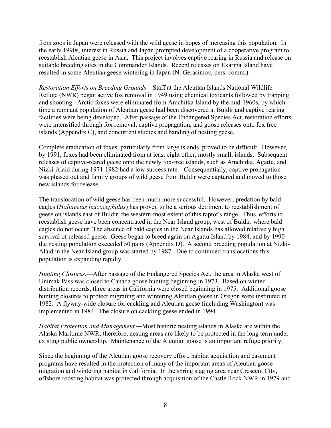from zoos in Japan were released with the wild geese in hopes of increasing this population. In the early 1990s, interest in Russia and Japan prompted development of a cooperative program to reestablish Aleutian geese in Asia. This project involves captive rearing in Russia and release on suitable breeding sites in the Commander Islands. Recent releases on Ekarma Island have resulted in some Aleutian geese wintering in Japan (N. Gerasimov, pers. comm.).

*Restoration Efforts on Breeding Grounds*—Staff at the Aleutian Islands National Wildlife Refuge (NWR) began active fox removal in 1949 using chemical toxicants followed by trapping and shooting. Arctic foxes were eliminated from Amchitka Island by the mid-1960s, by which time a remnant population of Aleutian geese had been discovered at Buldir and captive rearing facilities were being developed. After passage of the Endangered Species Act, restoration efforts were intensified through fox removal, captive propagation, and goose releases onto fox free islands (Appendix C), and concurrent studies and banding of nesting geese.

Complete eradication of foxes, particularly from large islands, proved to be difficult. However, by 1991, foxes had been eliminated from at least eight other, mostly small, islands. Subsequent releases of captive-reared geese onto the newly fox-free islands, such as Amchitka, Agattu, and Nizki-Alaid during 1971-1982 had a low success rate. Consequentially, captive propagation was phased out and family groups of wild geese from Buldir were captured and moved to those new islands for release.

The translocation of wild geese has been much more successful. However, predation by bald eagles (*Haliaeetus leucocephalus*) has proven to be a serious detriment to reestablishment of geese on islands east of Buldir, the western-most extent of this raptor's range. Thus, efforts to reestablish geese have been concentrated in the Near Island group, west of Buldir, where bald eagles do not occur. The absence of bald eagles in the Near Islands has allowed relatively high survival of released geese. Geese began to breed again on Agattu Island by 1984, and by 1990 the nesting population exceeded 50 pairs (Appendix D). A second breeding population at Nizki-Alaid in the Near Island group was started by 1987. Due to continued translocations this population is expanding rapidly.

*Hunting Closures.*—After passage of the Endangered Species Act, the area in Alaska west of Unimak Pass was closed to Canada goose hunting beginning in 1973. Based on winter distribution records, three areas in California were closed beginning in 1975. Additional goose hunting closures to protect migrating and wintering Aleutian geese in Oregon were instituted in 1982. A flyway-wide closure for cackling and Aleutian geese (including Washington) was implemented in 1984. The closure on cackling geese ended in 1994.

*Habitat Protection and Management.—*Most historic nesting islands in Alaska are within the Alaska Maritime NWR; therefore, nesting areas are likely to be protected in the long term under existing public ownership. Maintenance of the Aleutian goose is an important refuge priority.

Since the beginning of the Aleutian goose recovery effort, habitat acquisition and easement programs have resulted in the protection of many of the important areas of Aleutian goose migration and wintering habitat in California. In the spring staging area near Crescent City, offshore roosting habitat was protected through acquisition of the Castle Rock NWR in 1979 and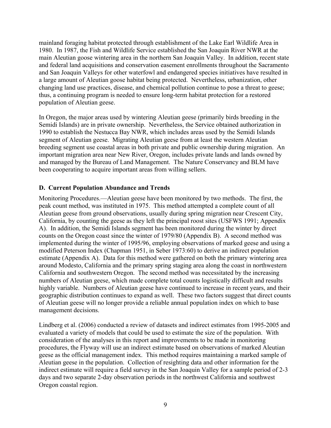<span id="page-15-0"></span>mainland foraging habitat protected through establishment of the Lake Earl Wildlife Area in 1980. In 1987, the Fish and Wildlife Service established the San Joaquin River NWR at the main Aleutian goose wintering area in the northern San Joaquin Valley. In addition, recent state and federal land acquisitions and conservation easement enrollments throughout the Sacramento and San Joaquin Valleys for other waterfowl and endangered species initiatives have resulted in a large amount of Aleutian goose habitat being protected. Nevertheless, urbanization, other changing land use practices, disease, and chemical pollution continue to pose a threat to geese; thus, a continuing program is needed to ensure long-term habitat protection for a restored population of Aleutian geese.

In Oregon, the major areas used by wintering Aleutian geese (primarily birds breeding in the Semidi Islands) are in private ownership. Nevertheless, the Service obtained authorization in 1990 to establish the Nestucca Bay NWR, which includes areas used by the Semidi Islands segment of Aleutian geese. Migrating Aleutian geese from at least the western Aleutian breeding segment use coastal areas in both private and public ownership during migration. An important migration area near New River, Oregon, includes private lands and lands owned by and managed by the Bureau of Land Management. The Nature Conservancy and BLM have been cooperating to acquire important areas from willing sellers.

#### **D. Current Population Abundance and Trends**

Monitoring Procedures.—Aleutian geese have been monitored by two methods. The first, the peak count method, was instituted in 1975. This method attempted a complete count of all Aleutian geese from ground observations, usually during spring migration near Crescent City, California, by counting the geese as they left the principal roost sites (USFWS 1991; Appendix A). In addition, the Semidi Islands segment has been monitored during the winter by direct counts on the Oregon coast since the winter of 1979/80 (Appendix B). A second method was implemented during the winter of 1995/96, employing observations of marked geese and using a modified Peterson Index (Chapman 1951, in Seber 1973:60) to derive an indirect population estimate (Appendix A). Data for this method were gathered on both the primary wintering area around Modesto, California and the primary spring staging area along the coast in northwestern California and southwestern Oregon. The second method was necessitated by the increasing numbers of Aleutian geese, which made complete total counts logistically difficult and results highly variable. Numbers of Aleutian geese have continued to increase in recent years, and their geographic distribution continues to expand as well. These two factors suggest that direct counts of Aleutian geese will no longer provide a reliable annual population index on which to base management decisions.

Lindberg et al. (2006) conducted a review of datasets and indirect estimates from 1995-2005 and evaluated a variety of models that could be used to estimate the size of the population. With consideration of the analyses in this report and improvements to be made in monitoring procedures, the Flyway will use an indirect estimate based on observations of marked Aleutian geese as the official management index. This method requires maintaining a marked sample of Aleutian geese in the population. Collection of resighting data and other information for the indirect estimate will require a field survey in the San Joaquin Valley for a sample period of 2-3 days and two separate 2-day observation periods in the northwest California and southwest Oregon coastal region.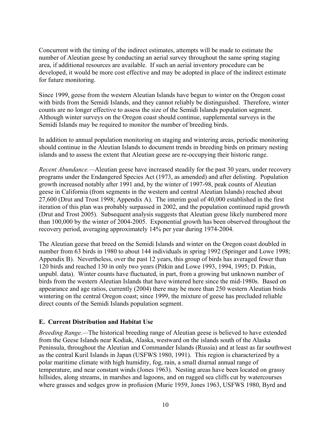<span id="page-16-0"></span>Concurrent with the timing of the indirect estimates, attempts will be made to estimate the number of Aleutian geese by conducting an aerial survey throughout the same spring staging area, if additional resources are available. If such an aerial inventory procedure can be developed, it would be more cost effective and may be adopted in place of the indirect estimate for future monitoring.

Since 1999, geese from the western Aleutian Islands have begun to winter on the Oregon coast with birds from the Semidi Islands, and they cannot reliably be distinguished. Therefore, winter counts are no longer effective to assess the size of the Semidi Islands population segment. Although winter surveys on the Oregon coast should continue, supplemental surveys in the Semidi Islands may be required to monitor the number of breeding birds.

In addition to annual population monitoring on staging and wintering areas, periodic monitoring should continue in the Aleutian Islands to document trends in breeding birds on primary nesting islands and to assess the extent that Aleutian geese are re-occupying their historic range.

*Recent Abundance.—*Aleutian geese have increased steadily for the past 30 years, under recovery programs under the Endangered Species Act (1973, as amended) and after delisting. Population growth increased notably after 1991 and, by the winter of 1997-98, peak counts of Aleutian geese in California (from segments in the western and central Aleutian Islands) reached about 27,600 (Drut and Trost 1998; Appendix A). The interim goal of 40,000 established in the first iteration of this plan was probably surpassed in 2002, and the population continued rapid growth (Drut and Trost 2005). Subsequent analysis suggests that Aleutian geese likely numbered more than 100,000 by the winter of 2004-2005. Exponential growth has been observed throughout the recovery period, averaging approximately 14% per year during 1974-2004.

The Aleutian geese that breed on the Semidi Islands and winter on the Oregon coast doubled in number from 63 birds in 1980 to about 144 individuals in spring 1992 (Springer and Lowe 1998; Appendix B). Nevertheless, over the past 12 years, this group of birds has averaged fewer than 120 birds and reached 130 in only two years (Pitkin and Lowe 1993, 1994, 1995; D. Pitkin, unpubl. data). Winter counts have fluctuated, in part, from a growing but unknown number of birds from the western Aleutian Islands that have wintered here since the mid-1980s. Based on appearance and age ratios, currently (2004) there may be more than 250 western Aleutian birds wintering on the central Oregon coast; since 1999, the mixture of geese has precluded reliable direct counts of the Semidi Islands population segment.

#### **E. Current Distribution and Habitat Use**

*Breeding Range.—*The historical breeding range of Aleutian geese is believed to have extended from the Geese Islands near Kodiak, Alaska, westward on the islands south of the Alaska Peninsula, throughout the Aleutian and Commander Islands (Russia) and at least as far southwest as the central Kuril Islands in Japan (USFWS 1980, 1991). This region is characterized by a polar maritime climate with high humidity, fog, rain, a small diurnal annual range of temperature, and near constant winds (Jones 1963). Nesting areas have been located on grassy hillsides, along streams, in marshes and lagoons, and on rugged sea cliffs cut by watercourses where grasses and sedges grow in profusion (Murie 1959, Jones 1963, USFWS 1980, Byrd and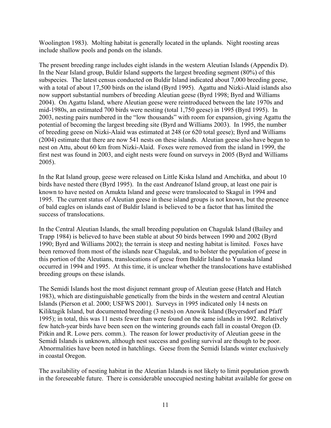Woolington 1983). Molting habitat is generally located in the uplands. Night roosting areas include shallow pools and ponds on the islands.

The present breeding range includes eight islands in the western Aleutian Islands (Appendix D). In the Near Island group, Buldir Island supports the largest breeding segment (80%) of this subspecies. The latest census conducted on Buldir Island indicated about 7,000 breeding geese, with a total of about 17,500 birds on the island (Byrd 1995). Agattu and Nizki-Alaid islands also now support substantial numbers of breeding Aleutian geese (Byrd 1998; Byrd and Williams 2004). On Agattu Island, where Aleutian geese were reintroduced between the late 1970s and mid-1980s, an estimated 700 birds were nesting (total 1,750 geese) in 1995 (Byrd 1995). In 2003, nesting pairs numbered in the "low thousands" with room for expansion, giving Agattu the potential of becoming the largest breeding site (Byrd and Williams 2003). In 1995, the number of breeding geese on Nizki-Alaid was estimated at 248 (or 620 total geese); Byrd and Williams (2004) estimate that there are now 541 nests on these islands. Aleutian geese also have begun to nest on Attu, about 60 km from Nizki-Alaid. Foxes were removed from the island in 1999, the first nest was found in 2003, and eight nests were found on surveys in 2005 (Byrd and Williams 2005).

In the Rat Island group, geese were released on Little Kiska Island and Amchitka, and about 10 birds have nested there (Byrd 1995). In the east Andreanof Island group, at least one pair is known to have nested on Amukta Island and geese were translocated to Skagul in 1994 and 1995. The current status of Aleutian geese in these island groups is not known, but the presence of bald eagles on islands east of Buldir Island is believed to be a factor that has limited the success of translocations.

In the Central Aleutian Islands, the small breeding population on Chagulak Island (Bailey and Trapp 1984) is believed to have been stable at about 50 birds between 1990 and 2002 (Byrd 1990; Byrd and Williams 2002); the terrain is steep and nesting habitat is limited. Foxes have been removed from most of the islands near Chagulak, and to bolster the population of geese in this portion of the Aleutians, translocations of geese from Buldir Island to Yunaska Island occurred in 1994 and 1995. At this time, it is unclear whether the translocations have established breeding groups on these islands.

The Semidi Islands host the most disjunct remnant group of Aleutian geese (Hatch and Hatch 1983), which are distinguishable genetically from the birds in the western and central Aleutian Islands (Pierson et al. 2000; USFWS 2001). Surveys in 1995 indicated only 14 nests on Kiliktagik Island, but documented breeding (3 nests) on Anowik Island (Beyersdorf and Pfaff 1995); in total, this was 11 nests fewer than were found on the same islands in 1992. Relatively few hatch-year birds have been seen on the wintering grounds each fall in coastal Oregon (D. Pitkin and R. Lowe pers. comm.). The reason for lower productivity of Aleutian geese in the Semidi Islands is unknown, although nest success and gosling survival are though to be poor. Abnormalities have been noted in hatchlings. Geese from the Semidi Islands winter exclusively in coastal Oregon.

The availability of nesting habitat in the Aleutian Islands is not likely to limit population growth in the foreseeable future. There is considerable unoccupied nesting habitat available for geese on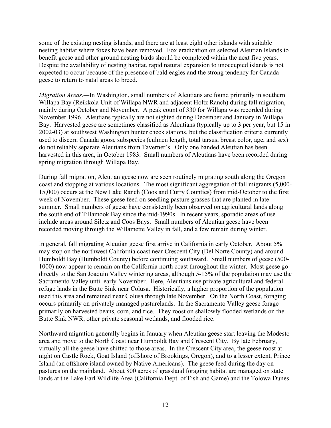some of the existing nesting islands, and there are at least eight other islands with suitable nesting habitat where foxes have been removed. Fox eradication on selected Aleutian Islands to benefit geese and other ground nesting birds should be completed within the next five years. Despite the availability of nesting habitat, rapid natural expansion to unoccupied islands is not expected to occur because of the presence of bald eagles and the strong tendency for Canada geese to return to natal areas to breed.

*Migration Areas.—*In Washington, small numbers of Aleutians are found primarily in southern Willapa Bay (Reikkola Unit of Willapa NWR and adjacent Holtz Ranch) during fall migration, mainly during October and November. A peak count of 330 for Willapa was recorded during November 1996. Aleutians typically are not sighted during December and January in Willapa Bay. Harvested geese are sometimes classified as Aleutians (typically up to 3 per year, but 15 in 2002-03) at southwest Washington hunter check stations, but the classification criteria currently used to discern Canada goose subspecies (culmen length, total tarsus, breast color, age, and sex) do not reliably separate Aleutians from Taverner's. Only one banded Aleutian has been harvested in this area, in October 1983. Small numbers of Aleutians have been recorded during spring migration through Willapa Bay.

During fall migration, Aleutian geese now are seen routinely migrating south along the Oregon coast and stopping at various locations. The most significant aggregation of fall migrants (5,000- 15,000) occurs at the New Lake Ranch (Coos and Curry Counties) from mid-October to the first week of November. These geese feed on seedling pasture grasses that are planted in late summer. Small numbers of geese have consistently been observed on agricultural lands along the south end of Tillamook Bay since the mid-1990s. In recent years, sporadic areas of use include areas around Siletz and Coos Bays. Small numbers of Aleutian geese have been recorded moving through the Willamette Valley in fall, and a few remain during winter.

In general, fall migrating Aleutian geese first arrive in California in early October. About 5% may stop on the northwest California coast near Crescent City (Del Norte County) and around Humboldt Bay (Humboldt County) before continuing southward. Small numbers of geese (500- 1000) now appear to remain on the California north coast throughout the winter. Most geese go directly to the San Joaquin Valley wintering areas, although 5-15% of the population may use the Sacramento Valley until early November. Here, Aleutians use private agricultural and federal refuge lands in the Butte Sink near Colusa. Historically, a higher proportion of the population used this area and remained near Colusa through late November. On the North Coast, foraging occurs primarily on privately managed pasturelands. In the Sacramento Valley geese forage primarily on harvested beans, corn, and rice. They roost on shallowly flooded wetlands on the Butte Sink NWR, other private seasonal wetlands, and flooded rice.

Northward migration generally begins in January when Aleutian geese start leaving the Modesto area and move to the North Coast near Humboldt Bay and Crescent City. By late February, virtually all the geese have shifted to those areas. In the Crescent City area, the geese roost at night on Castle Rock, Goat Island (offshore of Brookings, Oregon), and to a lesser extent, Prince Island (an offshore island owned by Native Americans). The geese feed during the day on pastures on the mainland. About 800 acres of grassland foraging habitat are managed on state lands at the Lake Earl Wildlife Area (California Dept. of Fish and Game) and the Tolowa Dunes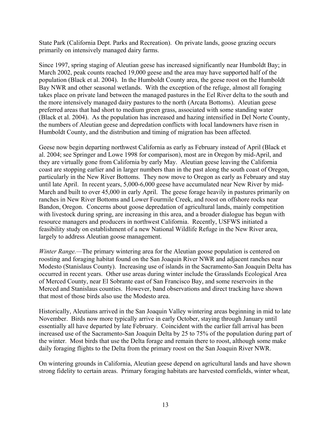State Park (California Dept. Parks and Recreation). On private lands, goose grazing occurs primarily on intensively managed dairy farms.

Since 1997, spring staging of Aleutian geese has increased significantly near Humboldt Bay; in March 2002, peak counts reached 19,000 geese and the area may have supported half of the population (Black et al. 2004). In the Humboldt County area, the geese roost on the Humboldt Bay NWR and other seasonal wetlands. With the exception of the refuge, almost all foraging takes place on private land between the managed pastures in the Eel River delta to the south and the more intensively managed dairy pastures to the north (Arcata Bottoms). Aleutian geese preferred areas that had short to medium green grass, associated with some standing water (Black et al. 2004). As the population has increased and hazing intensified in Del Norte County, the numbers of Aleutian geese and depredation conflicts with local landowners have risen in Humboldt County, and the distribution and timing of migration has been affected.

Geese now begin departing northwest California as early as February instead of April (Black et al. 2004; see Springer and Lowe 1998 for comparison), most are in Oregon by mid-April, and they are virtually gone from California by early May. Aleutian geese leaving the California coast are stopping earlier and in larger numbers than in the past along the south coast of Oregon, particularly in the New River Bottoms. They now move to Oregon as early as February and stay until late April. In recent years, 5,000-6,000 geese have accumulated near New River by mid-March and built to over 45,000 in early April. The geese forage heavily in pastures primarily on ranches in New River Bottoms and Lower Fourmile Creek, and roost on offshore rocks near Bandon, Oregon. Concerns about goose depredation of agricultural lands, mainly competition with livestock during spring, are increasing in this area, and a broader dialogue has begun with resource managers and producers in northwest California. Recently, USFWS initiated a feasibility study on establishment of a new National Wildlife Refuge in the New River area, largely to address Aleutian goose management.

*Winter Range.*—The primary wintering area for the Aleutian goose population is centered on roosting and foraging habitat found on the San Joaquin River NWR and adjacent ranches near Modesto (Stanislaus County). Increasing use of islands in the Sacramento-San Joaquin Delta has occurred in recent years. Other use areas during winter include the Grasslands Ecological Area of Merced County, near El Sobrante east of San Francisco Bay, and some reservoirs in the Merced and Stanislaus counties. However, band observations and direct tracking have shown that most of those birds also use the Modesto area.

Historically, Aleutians arrived in the San Joaquin Valley wintering areas beginning in mid to late November. Birds now more typically arrive in early October, staying through January until essentially all have departed by late February. Coincident with the earlier fall arrival has been increased use of the Sacramento-San Joaquin Delta by 25 to 75% of the population during part of the winter. Most birds that use the Delta forage and remain there to roost, although some make daily foraging flights to the Delta from the primary roost on the San Joaquin River NWR.

On wintering grounds in California, Aleutian geese depend on agricultural lands and have shown strong fidelity to certain areas. Primary foraging habitats are harvested cornfields, winter wheat,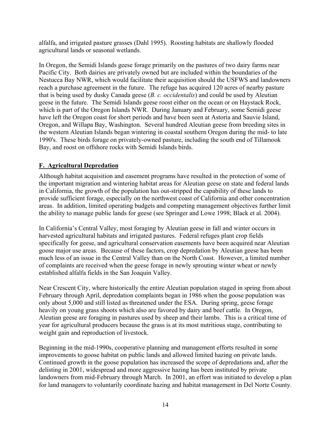<span id="page-20-0"></span>alfalfa, and irrigated pasture grasses (Dahl 1995). Roosting habitats are shallowly flooded agricultural lands or seasonal wetlands.

In Oregon, the Semidi Islands geese forage primarily on the pastures of two dairy farms near Pacific City. Both dairies are privately owned but are included within the boundaries of the Nestucca Bay NWR, which would facilitate their acquisition should the USFWS and landowners reach a purchase agreement in the future. The refuge has acquired 120 acres of nearby pasture that is being used by dusky Canada geese (*B. c. occidentalis*) and could be used by Aleutian geese in the future. The Semidi Islands geese roost either on the ocean or on Haystack Rock, which is part of the Oregon Islands NWR. During January and February, some Semidi geese have left the Oregon coast for short periods and have been seen at Astoria and Sauvie Island, Oregon, and Willapa Bay, Washington. Several hundred Aleutian geese from breeding sites in the western Aleutian Islands began wintering in coastal southern Oregon during the mid- to late 1990's. These birds forage on privately-owned pasture, including the south end of Tillamook Bay, and roost on offshore rocks with Semidi Islands birds.

#### **F. Agricultural Depredation**

Although habitat acquisition and easement programs have resulted in the protection of some of the important migration and wintering habitat areas for Aleutian geese on state and federal lands in California, the growth of the population has out-stripped the capability of these lands to provide sufficient forage, especially on the northwest coast of California and other concentration areas. In addition, limited operating budgets and competing management objectives further limit the ability to manage public lands for geese (see Springer and Lowe 1998; Black et al. 2004).

In California's Central Valley, most foraging by Aleutian geese in fall and winter occurs in harvested agricultural habitats and irrigated pastures. Federal refuges plant crop fields specifically for geese, and agricultural conservation easements have been acquired near Aleutian goose major use areas. Because of these factors, crop depredation by Aleutian geese has been much less of an issue in the Central Valley than on the North Coast. However, a limited number of complaints are received when the geese forage in newly sprouting winter wheat or newly established alfalfa fields in the San Joaquin Valley.

Near Crescent City, where historically the entire Aleutian population staged in spring from about February through April, depredation complaints began in 1986 when the goose population was only about 5,000 and still listed as threatened under the ESA. During spring, geese forage heavily on young grass shoots which also are favored by dairy and beef cattle. In Oregon, Aleutian geese are foraging in pastures used by sheep and their lambs. This is a critical time of year for agricultural producers because the grass is at its most nutritious stage, contributing to weight gain and reproduction of livestock.

Beginning in the mid-1990s, cooperative planning and management efforts resulted in some improvements to goose habitat on public lands and allowed limited hazing on private lands. Continued growth in the goose population has increased the scope of depredations and, after the delisting in 2001, widespread and more aggressive hazing has been instituted by private landowners from mid-February through March. In 2001, an effort was initiated to develop a plan for land managers to voluntarily coordinate hazing and habitat management in Del Norte County.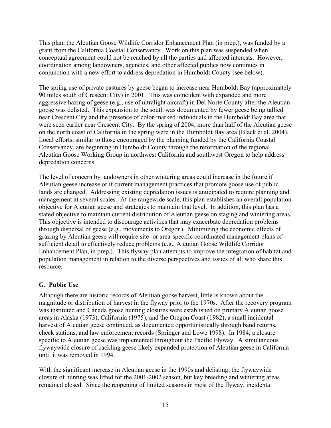<span id="page-21-0"></span>This plan, the Aleutian Goose Wildlife Corridor Enhancement Plan (in prep.), was funded by a grant from the California Coastal Conservancy. Work on this plan was suspended when conceptual agreement could not be reached by all the parties and affected interests. However, coordination among landowners, agencies, and other affected publics now continues in conjunction with a new effort to address depredation in Humboldt County (see below).

The spring use of private pastures by geese began to increase near Humboldt Bay (approximately 90 miles south of Crescent City) in 2001. This was coincident with expanded and more aggressive hazing of geese (e.g., use of ultralight aircraft) in Del Norte County after the Aleutian goose was delisted. This expansion to the south was documented by fewer geese being tallied near Crescent City and the presence of color-marked individuals in the Humboldt Bay area that were seen earlier near Crescent City. By the spring of 2004, more than half of the Aleutian geese on the north coast of California in the spring were in the Humboldt Bay area (Black et al. 2004). Local efforts, similar to those encouraged by the planning funded by the California Coastal Conservancy, are beginning in Humboldt County through the reformation of the regional Aleutian Goose Working Group in northwest California and southwest Oregon to help address depredation concerns.

The level of concern by landowners in other wintering areas could increase in the future if Aleutian geese increase or if current management practices that promote goose use of public lands are changed. Addressing existing depredation issues is anticipated to require planning and management at several scales. At the rangewide scale, this plan establishes an overall population objective for Aleutian geese and strategies to maintain that level. In addition, this plan has a stated objective to maintain current distribution of Aleutian geese on staging and wintering areas. This objective is intended to discourage activities that may exacerbate depredation problems through dispersal of geese (e.g., movements to Oregon). Minimizing the economic effects of grazing by Aleutian geese will require site- or area-specific coordinated management plans of sufficient detail to effectively reduce problems (e.g., Aleutian Goose Wildlife Corridor Enhancement Plan, in prep.). This flyway plan attempts to improve the integration of habitat and population management in relation to the diverse perspectives and issues of all who share this resource.

#### **G. Public Use**

Although there are historic records of Aleutian goose harvest, little is known about the magnitude or distribution of harvest in the flyway prior to the 1970s. After the recovery program was instituted and Canada goose hunting closures were established on primary Aleutian goose areas in Alaska (1973), California (1975), and the Oregon Coast (1982), a small incidental harvest of Aleutian geese continued, as documented opportunistically through band returns, check stations, and law enforcement records (Springer and Lowe 1998). In 1984, a closure specific to Aleutian geese was implemented throughout the Pacific Flyway. A simultaneous flywaywide closure of cackling geese likely expanded protection of Aleutian geese in California until it was removed in 1994.

With the significant increase in Aleutian geese in the 1990s and delisting, the flywaywide closure of hunting was lifted for the 2001-2002 season, but key breeding and wintering areas remained closed. Since the reopening of limited seasons in most of the flyway, incidental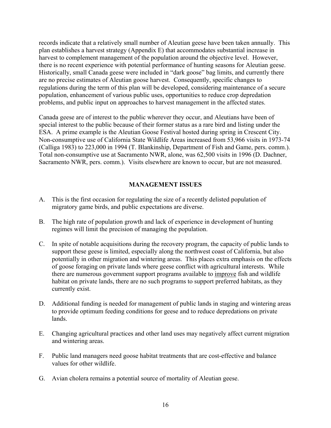<span id="page-22-0"></span>records indicate that a relatively small number of Aleutian geese have been taken annually. This plan establishes a harvest strategy (Appendix E) that accommodates substantial increase in harvest to complement management of the population around the objective level. However, there is no recent experience with potential performance of hunting seasons for Aleutian geese. Historically, small Canada geese were included in "dark goose" bag limits, and currently there are no precise estimates of Aleutian goose harvest. Consequently, specific changes to regulations during the term of this plan will be developed, considering maintenance of a secure population, enhancement of various public uses, opportunities to reduce crop depredation problems, and public input on approaches to harvest management in the affected states.

Canada geese are of interest to the public wherever they occur, and Aleutians have been of special interest to the public because of their former status as a rare bird and listing under the ESA. A prime example is the Aleutian Goose Festival hosted during spring in Crescent City. Non-consumptive use of California State Wildlife Areas increased from 53,966 visits in 1973-74 (Calliga 1983) to 223,000 in 1994 (T. Blankinship, Department of Fish and Game, pers. comm.). Total non-consumptive use at Sacramento NWR, alone, was 62,500 visits in 1996 (D. Dachner, Sacramento NWR, pers. comm.). Visits elsewhere are known to occur, but are not measured.

#### **MANAGEMENT ISSUES**

- A. This is the first occasion for regulating the size of a recently delisted population of migratory game birds, and public expectations are diverse.
- B. The high rate of population growth and lack of experience in development of hunting regimes will limit the precision of managing the population.
- C. In spite of notable acquisitions during the recovery program, the capacity of public lands to support these geese is limited, especially along the northwest coast of California, but also potentially in other migration and wintering areas. This places extra emphasis on the effects of goose foraging on private lands where geese conflict with agricultural interests. While there are numerous government support programs available to improve fish and wildlife habitat on private lands, there are no such programs to support preferred habitats, as they currently exist.
- D. Additional funding is needed for management of public lands in staging and wintering areas to provide optimum feeding conditions for geese and to reduce depredations on private lands.
- E. Changing agricultural practices and other land uses may negatively affect current migration and wintering areas.
- F. Public land managers need goose habitat treatments that are cost-effective and balance values for other wildlife.
- G. Avian cholera remains a potential source of mortality of Aleutian geese.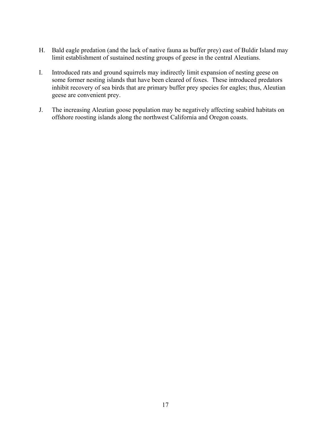- H. Bald eagle predation (and the lack of native fauna as buffer prey) east of Buldir Island may limit establishment of sustained nesting groups of geese in the central Aleutians.
- I. Introduced rats and ground squirrels may indirectly limit expansion of nesting geese on some former nesting islands that have been cleared of foxes. These introduced predators inhibit recovery of sea birds that are primary buffer prey species for eagles; thus, Aleutian geese are convenient prey.
- J. The increasing Aleutian goose population may be negatively affecting seabird habitats on offshore roosting islands along the northwest California and Oregon coasts.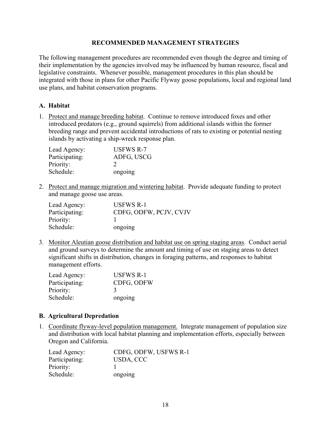#### **RECOMMENDED MANAGEMENT STRATEGIES**

<span id="page-24-0"></span>The following management procedures are recommended even though the degree and timing of their implementation by the agencies involved may be influenced by human resource, fiscal and legislative constraints. Whenever possible, management procedures in this plan should be integrated with those in plans for other Pacific Flyway goose populations, local and regional land use plans, and habitat conservation programs.

#### **A. Habitat**

1. Protect and manage breeding habitat. Continue to remove introduced foxes and other introduced predators (e.g., ground squirrels) from additional islands within the former breeding range and prevent accidental introductions of rats to existing or potential nesting islands by activating a ship-wreck response plan.

| Lead Agency:   | <b>USFWS R-7</b> |
|----------------|------------------|
| Participating: | ADFG, USCG       |
| Priority:      | - 2              |
| Schedule:      | ongoing          |

2. Protect and manage migration and wintering habitat. Provide adequate funding to protect and manage goose use areas.

| Lead Agency:   | <b>USFWS R-1</b>       |
|----------------|------------------------|
| Participating: | CDFG, ODFW, PCJV, CVJV |
| Priority:      |                        |
| Schedule:      | ongoing                |

3. Monitor Aleutian goose distribution and habitat use on spring staging areas. Conduct aerial and ground surveys to determine the amount and timing of use on staging areas to detect significant shifts in distribution, changes in foraging patterns, and responses to habitat management efforts.

| Lead Agency:   | <b>USFWS R-1</b> |
|----------------|------------------|
| Participating: | CDFG, ODFW       |
| Priority:      | $\mathcal{R}$    |
| Schedule:      | ongoing          |

#### **B. Agricultural Depredation**

1. Coordinate flyway-level population management. Integrate management of population size and distribution with local habitat planning and implementation efforts, especially between Oregon and California.

| Lead Agency:   | CDFG, ODFW, USFWS R-1 |
|----------------|-----------------------|
| Participating: | USDA, CCC             |
| Priority:      |                       |
| Schedule:      | ongoing               |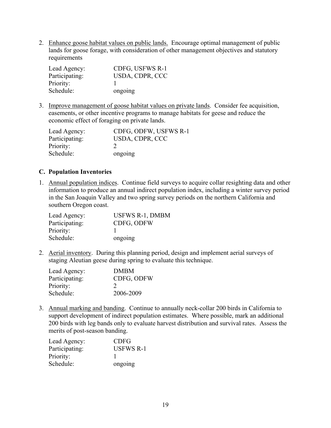<span id="page-25-0"></span>2. Enhance goose habitat values on public lands. Encourage optimal management of public lands for goose forage, with consideration of other management objectives and statutory requirements

| Lead Agency:   | CDFG, USFWS R-1 |
|----------------|-----------------|
| Participating: | USDA, CDPR, CCC |
| Priority:      |                 |
| Schedule:      | ongoing         |

3. Improve management of goose habitat values on private lands. Consider fee acquisition, easements, or other incentive programs to manage habitats for geese and reduce the economic effect of foraging on private lands.

| Lead Agency:   | CDFG, ODFW, USFWS R-1 |
|----------------|-----------------------|
| Participating: | USDA, CDPR, CCC       |
| Priority:      |                       |
| Schedule:      | ongoing               |

#### **C. Population Inventories**

1. Annual population indices. Continue field surveys to acquire collar resighting data and other information to produce an annual indirect population index, including a winter survey period in the San Joaquin Valley and two spring survey periods on the northern California and southern Oregon coast.

| Lead Agency:   | <b>USFWS R-1, DMBM</b> |
|----------------|------------------------|
| Participating: | CDFG, ODFW             |
| Priority:      |                        |
| Schedule:      | ongoing                |

2. Aerial inventory. During this planning period, design and implement aerial surveys of staging Aleutian geese during spring to evaluate this technique.

| Lead Agency:   | <b>DMBM</b>   |
|----------------|---------------|
| Participating: | CDFG, ODFW    |
| Priority:      | $\mathcal{D}$ |
| Schedule:      | 2006-2009     |

3. Annual marking and banding. Continue to annually neck-collar 200 birds in California to support development of indirect population estimates. Where possible, mark an additional 200 birds with leg bands only to evaluate harvest distribution and survival rates. Assess the merits of post-season banding.

| Lead Agency:   | <b>CDFG</b>      |
|----------------|------------------|
| Participating: | <b>USFWS R-1</b> |
| Priority:      |                  |
| Schedule:      | ongoing          |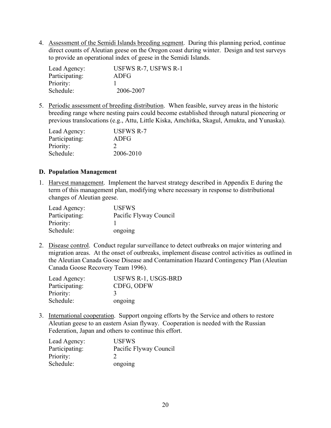<span id="page-26-0"></span>4. Assessment of the Semidi Islands breeding segment. During this planning period, continue direct counts of Aleutian geese on the Oregon coast during winter. Design and test surveys to provide an operational index of geese in the Semidi Islands.

| Lead Agency:   | USFWS R-7, USFWS R-1 |
|----------------|----------------------|
| Participating: | ADFG                 |
| Priority:      |                      |
| Schedule:      | 2006-2007            |

5. Periodic assessment of breeding distribution. When feasible, survey areas in the historic breeding range where nesting pairs could become established through natural pioneering or previous translocations (e.g., Attu, Little Kiska, Amchitka, Skagul, Amukta, and Yunaska).

| Lead Agency:   | <b>USFWS R-7</b> |
|----------------|------------------|
| Participating: | ADFG             |
| Priority:      | 2                |
| Schedule:      | 2006-2010        |

#### **D. Population Management**

1. Harvest management. Implement the harvest strategy described in Appendix E during the term of this management plan, modifying where necessary in response to distributional changes of Aleutian geese.

| Lead Agency:   | <b>USFWS</b>           |
|----------------|------------------------|
| Participating: | Pacific Flyway Council |
| Priority:      |                        |
| Schedule:      | ongoing                |

2. Disease control. Conduct regular surveillance to detect outbreaks on major wintering and migration areas. At the onset of outbreaks, implement disease control activities as outlined in the Aleutian Canada Goose Disease and Contamination Hazard Contingency Plan (Aleutian Canada Goose Recovery Team 1996).

| Lead Agency:   | USFWS R-1, USGS-BRD |
|----------------|---------------------|
| Participating: | CDFG, ODFW          |
| Priority:      | $\mathcal{R}$       |
| Schedule:      | ongoing             |

3. International cooperation. Support ongoing efforts by the Service and others to restore Aleutian geese to an eastern Asian flyway. Cooperation is needed with the Russian Federation, Japan and others to continue this effort.

| Lead Agency:   | <b>USFWS</b>           |
|----------------|------------------------|
| Participating: | Pacific Flyway Council |
| Priority:      |                        |
| Schedule:      | ongoing                |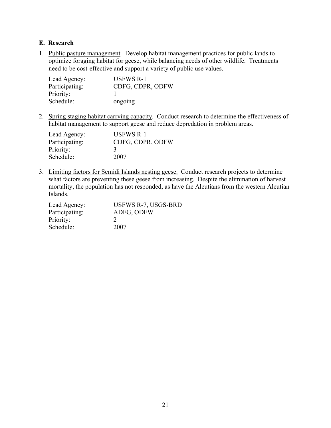#### <span id="page-27-0"></span>**E. Research**

1. Public pasture management. Develop habitat management practices for public lands to optimize foraging habitat for geese, while balancing needs of other wildlife. Treatments need to be cost-effective and support a variety of public use values.

| Lead Agency:   | <b>USFWS R-1</b> |
|----------------|------------------|
| Participating: | CDFG, CDPR, ODFW |
| Priority:      |                  |
| Schedule:      | ongoing          |

2. Spring staging habitat carrying capacity. Conduct research to determine the effectiveness of habitat management to support geese and reduce depredation in problem areas.

| Lead Agency:   | <b>USFWS R-1</b> |
|----------------|------------------|
| Participating: | CDFG, CDPR, ODFW |
| Priority:      | -3               |
| Schedule:      | 2007             |

3. Limiting factors for Semidi Islands nesting geese. Conduct research projects to determine what factors are preventing these geese from increasing. Despite the elimination of harvest mortality, the population has not responded, as have the Aleutians from the western Aleutian Islands.

| Lead Agency:   | USFWS R-7, USGS-BRD |
|----------------|---------------------|
| Participating: | ADFG, ODFW          |
| Priority:      |                     |
| Schedule:      | 2007                |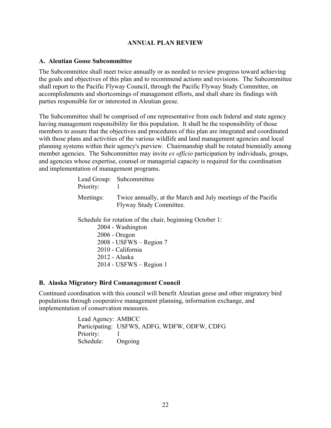#### **ANNUAL PLAN REVIEW**

#### <span id="page-28-0"></span>**A. Aleutian Goose Subcommittee**

The Subcommittee shall meet twice annually or as needed to review progress toward achieving the goals and objectives of this plan and to recommend actions and revisions. The Subcommittee shall report to the Pacific Flyway Council, through the Pacific Flyway Study Committee, on accomplishments and shortcomings of management efforts, and shall share its findings with parties responsible for or interested in Aleutian geese.

The Subcommittee shall be comprised of one representative from each federal and state agency having management responsibility for this population. It shall be the responsibility of those members to assure that the objectives and procedures of this plan are integrated and coordinated with those plans and activities of the various wildlife and land management agencies and local planning systems within their agency's purview. Chairmanship shall be rotated biennially among member agencies. The Subcommittee may invite *ex officio* participation by individuals, groups, and agencies whose expertise, counsel or managerial capacity is required for the coordination and implementation of management programs.

| Priority: | Lead Group: Subcommittee                                                                 |
|-----------|------------------------------------------------------------------------------------------|
| Meetings: | Twice annually, at the March and July meetings of the Pacific<br>Flyway Study Committee. |

Schedule for rotation of the chair, beginning October 1:

2004 - Washington 2006 - Oregon 2008 - USFWS – Region 7 2010 - California 2012 - Alaska 2014 - USFWS – Region 1

#### **B. Alaska Migratory Bird Comanagement Council**

Continued coordination with this council will benefit Aleutian geese and other migratory bird populations through cooperative management planning, information exchange, and implementation of conservation measures.

> Lead Agency: AMBCC Participating: USFWS, ADFG, WDFW, ODFW, CDFG Priority: Schedule: Ongoing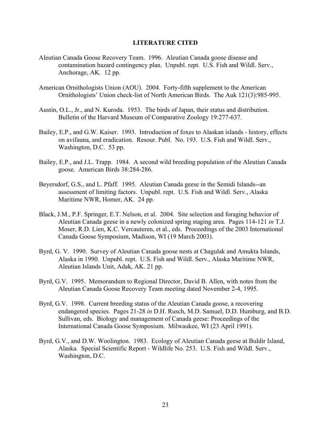#### **LITERATURE CITED**

- <span id="page-29-0"></span>Aleutian Canada Goose Recovery Team. 1996. Aleutian Canada goose disease and contamination hazard contingency plan. Unpubl. rept. U.S. Fish and Wildl. Serv., Anchorage, AK. 12 pp.
- American Ornithologists Union (AOU). 2004. Forty-fifth supplement to the American Ornithologists' Union check-list of North American Birds. The Auk 121(3):985-995.
- Austin, O.L., Jr., and N. Kuroda. 1953. The birds of Japan, their status and distribution. Bulletin of the Harvard Museum of Comparative Zoology 19:277-637.
- Bailey, E.P., and G.W. Kaiser. 1993. Introduction of foxes to Alaskan islands history, effects on avifauna, and eradication. Resour. Publ. No. 193. U.S. Fish and Wildl. Serv., Washington, D.C. 53 pp.
- Bailey, E.P., and J.L. Trapp. 1984. A second wild breeding population of the Aleutian Canada goose. American Birds 38:284-286.
- Beyersdorf, G.S., and L. Pfaff. 1995. Aleutian Canada geese in the Semidi Islands--an assessment of limiting factors. Unpubl. rept. U.S. Fish and Wildl. Serv., Alaska Maritime NWR, Homer, AK. 24 pp.
- Black, J.M., P.F. Springer, E.T. Nelson, et al. 2004. Site selection and foraging behavior of Aleutian Canada geese in a newly colonized spring staging area. Pages 114-121 *in* T.J. Moser, R.D. Lien, K.C. Vercauteren, et al., eds. Proceedings of the 2003 International Canada Goose Symposium, Madison, WI (19 March 2003).
- Byrd, G. V. 1990. Survey of Aleutian Canada goose nests at Chagulak and Amukta Islands, Alaska in 1990. Unpubl. rept. U.S. Fish and Wildl. Serv., Alaska Maritime NWR, Aleutian Islands Unit, Adak, AK. 21 pp.
- Byrd, G.V. 1995. Memorandum to Regional Director, David B. Allen, with notes from the Aleutian Canada Goose Recovery Team meeting dated November 2-4, 1995.
- Byrd, G.V. 1998. Current breeding status of the Aleutian Canada goose, a recovering endangered species. Pages 21-28 *in* D.H. Rusch, M.D. Samuel, D.D. Humburg, and B.D. Sullivan, eds. Biology and management of Canada geese: Proceedings of the International Canada Goose Symposium. Milwaukee, WI (23 April 1991).
- Byrd, G.V., and D.W. Woolington. 1983. Ecology of Aleutian Canada geese at Buldir Island, Alaska. Special Scientific Report - Wildlife No. 253. U.S. Fish and Wildl. Serv., Washington, D.C.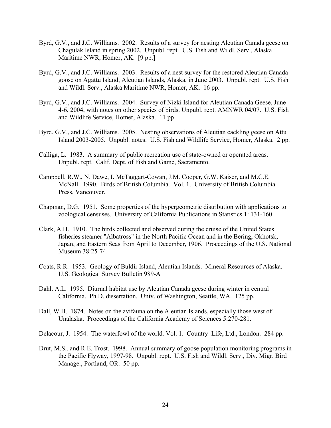- Byrd, G.V., and J.C. Williams. 2002. Results of a survey for nesting Aleutian Canada geese on Chagulak Island in spring 2002. Unpubl. rept. U.S. Fish and Wildl. Serv., Alaska Maritime NWR, Homer, AK. [9 pp.]
- Byrd, G.V., and J.C. Williams. 2003. Results of a nest survey for the restored Aleutian Canada goose on Agattu Island, Aleutian Islands, Alaska, in June 2003. Unpubl. rept. U.S. Fish and Wildl. Serv., Alaska Maritime NWR, Homer, AK. 16 pp.
- Byrd, G.V., and J.C. Williams. 2004. Survey of Nizki Island for Aleutian Canada Geese, June 4-6, 2004, with notes on other species of birds. Unpubl. rept. AMNWR 04/07. U.S. Fish and Wildlife Service, Homer, Alaska. 11 pp.
- Byrd, G.V., and J.C. Williams. 2005. Nesting observations of Aleutian cackling geese on Attu Island 2003-2005. Unpubl. notes. U.S. Fish and Wildlife Service, Homer, Alaska. 2 pp.
- Calliga, L. 1983. A summary of public recreation use of state-owned or operated areas. Unpubl. rept. Calif. Dept. of Fish and Game, Sacramento.
- Campbell, R.W., N. Dawe, I. McTaggart-Cowan, J.M. Cooper, G.W. Kaiser, and M.C.E. McNall. 1990. Birds of British Columbia. Vol. 1. University of British Columbia Press, Vancouver.
- Chapman, D.G. 1951. Some properties of the hypergeometric distribution with applications to zoological censuses. University of California Publications in Statistics 1: 131-160.
- Clark, A.H. 1910. The birds collected and observed during the cruise of the United States fisheries steamer "Albatross" in the North Pacific Ocean and in the Bering, Okhotsk, Japan, and Eastern Seas from April to December, 1906. Proceedings of the U.S. National Museum 38:25-74.
- Coats, R.R. 1953. Geology of Buldir Island, Aleutian Islands. Mineral Resources of Alaska. U.S. Geological Survey Bulletin 989-A
- Dahl. A.L. 1995. Diurnal habitat use by Aleutian Canada geese during winter in central California. Ph.D. dissertation. Univ. of Washington, Seattle, WA. 125 pp.
- Dall, W.H. 1874. Notes on the avifauna on the Aleutian Islands, especially those west of Unalaska. Proceedings of the California Academy of Sciences 5:270-281.
- Delacour, J. 1954. The waterfowl of the world. Vol. 1. Country Life, Ltd., London. 284 pp.
- Drut, M.S., and R.E. Trost. 1998. Annual summary of goose population monitoring programs in the Pacific Flyway, 1997-98. Unpubl. rept. U.S. Fish and Wildl. Serv., Div. Migr. Bird Manage., Portland, OR. 50 pp.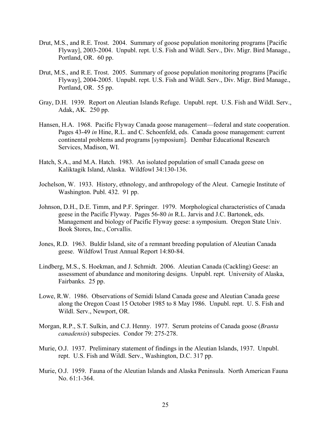- Drut, M.S., and R.E. Trost. 2004. Summary of goose population monitoring programs [Pacific Flyway], 2003-2004. Unpubl. rept. U.S. Fish and Wildl. Serv., Div. Migr. Bird Manage., Portland, OR. 60 pp.
- Drut, M.S., and R.E. Trost. 2005. Summary of goose population monitoring programs [Pacific Flyway], 2004-2005. Unpubl. rept. U.S. Fish and Wildl. Serv., Div. Migr. Bird Manage., Portland, OR. 55 pp.
- Gray, D.H. 1939. Report on Aleutian Islands Refuge. Unpubl. rept. U.S. Fish and Wildl. Serv., Adak, AK. 250 pp.
- Hansen, H.A. 1968. Pacific Flyway Canada goose management—federal and state cooperation. Pages 43-49 *in* Hine, R.L. and C. Schoenfeld, eds. Canada goose management: current continental problems and programs [symposium]. Dembar Educational Research Services, Madison, WI.
- Hatch, S.A., and M.A. Hatch. 1983. An isolated population of small Canada geese on Kaliktagik Island, Alaska. Wildfowl 34:130-136.
- Jochelson, W. 1933. History, ethnology, and anthropology of the Aleut. Carnegie Institute of Washington. Publ. 432. 91 pp.
- Johnson, D.H., D.E. Timm, and P.F. Springer. 1979. Morphological characteristics of Canada geese in the Pacific Flyway. Pages 56-80 *in* R.L. Jarvis and J.C. Bartonek, eds. Management and biology of Pacific Flyway geese: a symposium. Oregon State Univ. Book Stores, Inc., Corvallis.
- Jones, R.D. 1963. Buldir Island, site of a remnant breeding population of Aleutian Canada geese. Wildfowl Trust Annual Report 14:80-84.
- Lindberg, M.S., S. Hoekman, and J. Schmidt. 2006. Aleutian Canada (Cackling) Geese: an assessment of abundance and monitoring designs. Unpubl. rept. University of Alaska, Fairbanks. 25 pp.
- Lowe, R.W. 1986. Observations of Semidi Island Canada geese and Aleutian Canada geese along the Oregon Coast 15 October 1985 to 8 May 1986. Unpubl. rept. U. S. Fish and Wildl. Serv., Newport, OR.
- Morgan, R.P., S.T. Sulkin, and C.J. Henny. 1977. Serum proteins of Canada goose (*Branta canadensis*) subspecies. Condor 79: 275-278.
- Murie, O.J. 1937. Preliminary statement of findings in the Aleutian Islands, 1937. Unpubl. rept. U.S. Fish and Wildl. Serv., Washington, D.C. 317 pp.
- Murie, O.J. 1959. Fauna of the Aleutian Islands and Alaska Peninsula. North American Fauna No. 61:1-364.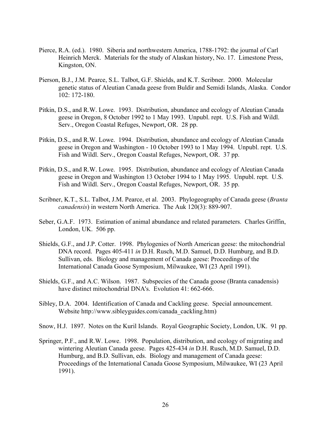- Pierce, R.A. (ed.). 1980. Siberia and northwestern America, 1788-1792: the journal of Carl Heinrich Merck. Materials for the study of Alaskan history, No. 17. Limestone Press, Kingston, ON.
- Pierson, B.J., J.M. Pearce, S.L. Talbot, G.F. Shields, and K.T. Scribner. 2000. Molecular genetic status of Aleutian Canada geese from Buldir and Semidi Islands, Alaska. Condor 102: 172-180.
- Pitkin, D.S., and R.W. Lowe. 1993. Distribution, abundance and ecology of Aleutian Canada geese in Oregon, 8 October 1992 to 1 May 1993. Unpubl. rept. U.S. Fish and Wildl. Serv., Oregon Coastal Refuges, Newport, OR. 28 pp.
- Pitkin, D.S., and R.W. Lowe. 1994. Distribution, abundance and ecology of Aleutian Canada geese in Oregon and Washington - 10 October 1993 to 1 May 1994. Unpubl. rept. U.S. Fish and Wildl. Serv., Oregon Coastal Refuges, Newport, OR. 37 pp.
- Pitkin, D.S., and R.W. Lowe. 1995. Distribution, abundance and ecology of Aleutian Canada geese in Oregon and Washington 13 October 1994 to 1 May 1995. Unpubl. rept. U.S. Fish and Wildl. Serv., Oregon Coastal Refuges, Newport, OR. 35 pp.
- Scribner, K.T., S.L. Talbot, J.M. Pearce, et al. 2003. Phylogeography of Canada geese (*Branta canadensis*) in western North America. The Auk 120(3): 889-907.
- Seber, G.A.F. 1973. Estimation of animal abundance and related parameters. Charles Griffin, London, UK. 506 pp.
- Shields, G.F., and J.P. Cotter. 1998. Phylogenies of North American geese: the mitochondrial DNA record. Pages 405-411 *in* D.H. Rusch, M.D. Samuel, D.D. Humburg, and B.D. Sullivan, eds. Biology and management of Canada geese: Proceedings of the International Canada Goose Symposium, Milwaukee, WI (23 April 1991).
- Shields, G.F., and A.C. Wilson. 1987. Subspecies of the Canada goose (Branta canadensis) have distinct mitochondrial DNA's. Evolution 41: 662-666.
- Sibley, D.A. 2004. Identification of Canada and Cackling geese. Special announcement. Website http://www.sibleyguides.com/canada\_cackling.htm)
- Snow, H.J. 1897. Notes on the Kuril Islands. Royal Geographic Society, London, UK. 91 pp.
- Springer, P.F., and R.W. Lowe. 1998. Population, distribution, and ecology of migrating and wintering Aleutian Canada geese. Pages 425-434 *in* D.H. Rusch, M.D. Samuel, D.D. Humburg, and B.D. Sullivan, eds. Biology and management of Canada geese: Proceedings of the International Canada Goose Symposium, Milwaukee, WI (23 April 1991).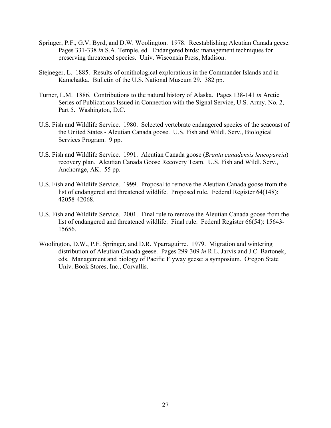- Springer, P.F., G.V. Byrd, and D.W. Woolington. 1978. Reestablishing Aleutian Canada geese. Pages 331-338 *in* S.A. Temple, ed. Endangered birds: management techniques for preserving threatened species. Univ. Wisconsin Press, Madison.
- Stejneger, L. 1885. Results of ornithological explorations in the Commander Islands and in Kamchatka. Bulletin of the U.S. National Museum 29. 382 pp.
- Turner, L.M. 1886. Contributions to the natural history of Alaska. Pages 138-141 *in* Arctic Series of Publications Issued in Connection with the Signal Service, U.S. Army. No. 2, Part 5. Washington, D.C.
- U.S. Fish and Wildlife Service. 1980. Selected vertebrate endangered species of the seacoast of the United States - Aleutian Canada goose. U.S. Fish and Wildl. Serv., Biological Services Program. 9 pp.
- U.S. Fish and Wildlife Service. 1991. Aleutian Canada goose (*Branta canadensis leucopareia*) recovery plan. Aleutian Canada Goose Recovery Team. U.S. Fish and Wildl. Serv., Anchorage, AK. 55 pp.
- U.S. Fish and Wildlife Service. 1999. Proposal to remove the Aleutian Canada goose from the list of endangered and threatened wildlife. Proposed rule. Federal Register 64(148): 42058-42068.
- U.S. Fish and Wildlife Service. 2001. Final rule to remove the Aleutian Canada goose from the list of endangered and threatened wildlife. Final rule. Federal Register 66(54): 15643- 15656.
- Woolington, D.W., P.F. Springer, and D.R. Yparraguirre. 1979. Migration and wintering distribution of Aleutian Canada geese. Pages 299-309 *in* R.L. Jarvis and J.C. Bartonek, eds. Management and biology of Pacific Flyway geese: a symposium. Oregon State Univ. Book Stores, Inc., Corvallis.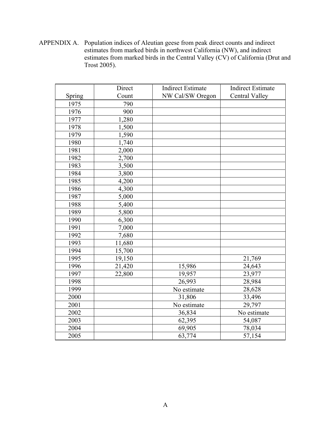APPENDIX A. Population indices of Aleutian geese from peak direct counts and indirect estimates from marked birds in northwest California (NW), and indirect estimates from marked birds in the Central Valley (CV) of California (Drut and Trost 2005).

|        | Direct | <b>Indirect Estimate</b> | <b>Indirect Estimate</b> |  |
|--------|--------|--------------------------|--------------------------|--|
| Spring | Count  | NW Cal/SW Oregon         | <b>Central Valley</b>    |  |
| 1975   | 790    |                          |                          |  |
| 1976   | 900    |                          |                          |  |
| 1977   | 1,280  |                          |                          |  |
| 1978   | 1,500  |                          |                          |  |
| 1979   | 1,590  |                          |                          |  |
| 1980   | 1,740  |                          |                          |  |
| 1981   | 2,000  |                          |                          |  |
| 1982   | 2,700  |                          |                          |  |
| 1983   | 3,500  |                          |                          |  |
| 1984   | 3,800  |                          |                          |  |
| 1985   | 4,200  |                          |                          |  |
| 1986   | 4,300  |                          |                          |  |
| 1987   | 5,000  |                          |                          |  |
| 1988   | 5,400  |                          |                          |  |
| 1989   | 5,800  |                          |                          |  |
| 1990   | 6,300  |                          |                          |  |
| 1991   | 7,000  |                          |                          |  |
| 1992   | 7,680  |                          |                          |  |
| 1993   | 11,680 |                          |                          |  |
| 1994   | 15,700 |                          |                          |  |
| 1995   | 19,150 |                          | 21,769                   |  |
| 1996   | 21,420 | 15,986                   | 24,643                   |  |
| 1997   | 22,800 | 19,957                   | 23,977                   |  |
| 1998   |        | 26,993                   | 28,984                   |  |
| 1999   |        | No estimate              | 28,628                   |  |
| 2000   |        | 31,806                   | 33,496                   |  |
| 2001   |        | No estimate              | 29,797                   |  |
| 2002   |        | 36,834<br>No estimate    |                          |  |
| 2003   |        | 62,395                   | 54,087                   |  |
| 2004   |        | 69,905                   | 78,034                   |  |
| 2005   |        | 63,774                   | 57,154                   |  |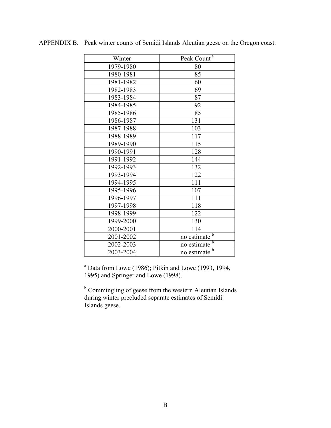| Winter    | Peak Count <sup>a</sup>  |
|-----------|--------------------------|
| 1979-1980 | 80                       |
| 1980-1981 | 85                       |
| 1981-1982 | 60                       |
| 1982-1983 | 69                       |
| 1983-1984 | 87                       |
| 1984-1985 | 92                       |
| 1985-1986 | 85                       |
| 1986-1987 | 131                      |
| 1987-1988 | 103                      |
| 1988-1989 | 117                      |
| 1989-1990 | 115                      |
| 1990-1991 | 128                      |
| 1991-1992 | 144                      |
| 1992-1993 | 132                      |
| 1993-1994 | 122                      |
| 1994-1995 | 111                      |
| 1995-1996 | 107                      |
| 1996-1997 | 111                      |
| 1997-1998 | 118                      |
| 1998-1999 | 122                      |
| 1999-2000 | 130                      |
| 2000-2001 | 114                      |
| 2001-2002 | no estimate <sup>b</sup> |
| 2002-2003 | no estimate <sup>b</sup> |
| 2003-2004 | b<br>no estimate         |

APPENDIX B. Peak winter counts of Semidi Islands Aleutian geese on the Oregon coast.

 $a$  Data from Lowe (1986); Pitkin and Lowe (1993, 1994, 1995) and Springer and Lowe (1998).

<sup>b</sup> Commingling of geese from the western Aleutian Islands during winter precluded separate estimates of Semidi Islands geese.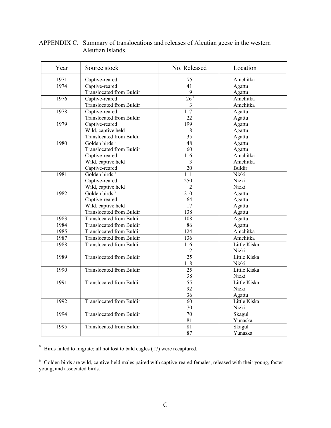| Year | Source stock                    | No. Released     | Location      |  |
|------|---------------------------------|------------------|---------------|--|
| 1971 | Captive-reared                  | 75               | Amchitka      |  |
| 1974 | Captive-reared                  | $\overline{41}$  | Agattu        |  |
|      | <b>Translocated from Buldir</b> | $\overline{9}$   | Agattu        |  |
| 1976 | Captive-reared                  | 26 <sup>a</sup>  | Amchitka      |  |
|      | Translocated from Buldir        | $\mathfrak{Z}$   | Amchitka      |  |
| 1978 | Captive-reared                  | $\overline{117}$ | Agattu        |  |
|      | <b>Translocated from Buldir</b> | 22               | Agattu        |  |
| 1979 | Captive-reared                  | 199              | Agattu        |  |
|      | Wild, captive held              | $8\,$            | Agattu        |  |
|      | Translocated from Buldir        | 35               | Agattu        |  |
| 1980 | Golden birds <sup>b</sup>       | 48               | Agattu        |  |
|      | <b>Translocated from Buldir</b> | 60               | Agattu        |  |
|      | Captive-reared                  | 116              | Amchitka      |  |
|      | Wild, captive held              | $\mathfrak{Z}$   | Amchitka      |  |
|      | Captive-reared                  | 20               | <b>Buldir</b> |  |
| 1981 | Golden birds b                  | $\overline{111}$ | Nizki         |  |
|      | Captive-reared                  | 250              | Nizki         |  |
|      | Wild, captive held              | 2                | Nizki         |  |
| 1982 | Golden birds b                  | $\overline{210}$ | Agattu        |  |
|      | Captive-reared                  | 64               | Agattu        |  |
|      | Wild, captive held              | 17               | Agattu        |  |
|      | Translocated from Buldir        | 138              | Agattu        |  |
| 1983 | <b>Translocated from Buldir</b> | 108              | Agattu        |  |
| 1984 | <b>Translocated from Buldir</b> | 86               | Agattu        |  |
| 1985 | <b>Translocated from Buldir</b> | 124              | Amchitka      |  |
| 1987 | <b>Translocated from Buldir</b> | 136              | Amchitka      |  |
| 1988 | <b>Translocated from Buldir</b> | 116              | Little Kiska  |  |
|      |                                 | 12               | Nizki         |  |
| 1989 | <b>Translocated from Buldir</b> | $\overline{25}$  | Little Kiska  |  |
|      |                                 | 118              | Nizki         |  |
| 1990 | Translocated from Buldir        | $\overline{25}$  | Little Kiska  |  |
|      |                                 | 38               | Nizki         |  |
| 1991 | <b>Translocated from Buldir</b> | $\overline{55}$  | Little Kiska  |  |
|      |                                 | 92               | Nizki         |  |
|      |                                 | 36               | Agattu        |  |
| 1992 | <b>Translocated from Buldir</b> | 60               | Little Kiska  |  |
|      |                                 | $70\,$           | Nizki         |  |
| 1994 | <b>Translocated from Buldir</b> | $\overline{70}$  | Skagul        |  |
|      |                                 | 81               | Yunaska       |  |
| 1995 | <b>Translocated from Buldir</b> | $\overline{81}$  | Skagul        |  |
|      |                                 | 87               | Yunaska       |  |

#### APPENDIX C. Summary of translocations and releases of Aleutian geese in the western Aleutian Islands.

 $a<sup>a</sup>$  Birds failed to migrate; all not lost to bald eagles (17) were recaptured.

<sup>b</sup> Golden birds are wild, captive-held males paired with captive-reared females, released with their young, foster young, and associated birds.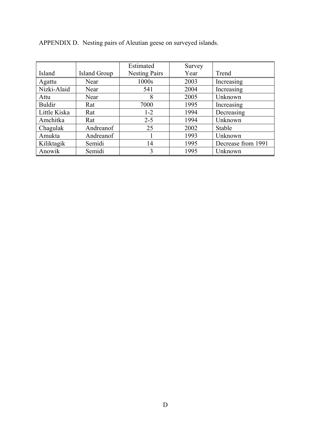|               |              | Estimated            | Survey |                    |
|---------------|--------------|----------------------|--------|--------------------|
| Island        | Island Group | <b>Nesting Pairs</b> | Year   | Trend              |
| Agattu        | Near         | 1000s                | 2003   | Increasing         |
| Nizki-Alaid   | Near         | 541                  | 2004   | Increasing         |
| Attu          | Near         | 8                    | 2005   | Unknown            |
| <b>Buldir</b> | Rat          | 7000                 | 1995   | Increasing         |
| Little Kiska  | Rat          | $1 - 2$              | 1994   | Decreasing         |
| Amchitka      | Rat          | $2 - 5$              | 1994   | Unknown            |
| Chagulak      | Andreanof    | 25                   | 2002   | Stable             |
| Amukta        | Andreanof    |                      | 1993   | Unknown            |
| Kiliktagik    | Semidi       | 14                   | 1995   | Decrease from 1991 |
| Anowik        | Semidi       | 3                    | 1995   | Unknown            |

APPENDIX D. Nesting pairs of Aleutian geese on surveyed islands.